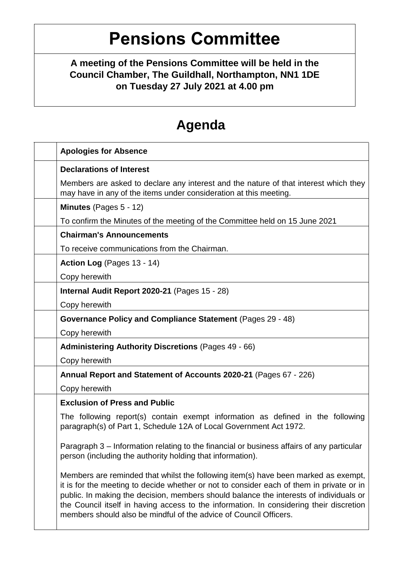# **Pensions Committee**

**A meeting of the Pensions Committee will be held in the Council Chamber, The Guildhall, Northampton, NN1 1DE on Tuesday 27 July 2021 at 4.00 pm**

## **Agenda**

| <b>Apologies for Absence</b>                                                                                                                                                                                                                                                                                                                                                                                                             |
|------------------------------------------------------------------------------------------------------------------------------------------------------------------------------------------------------------------------------------------------------------------------------------------------------------------------------------------------------------------------------------------------------------------------------------------|
| <b>Declarations of Interest</b>                                                                                                                                                                                                                                                                                                                                                                                                          |
| Members are asked to declare any interest and the nature of that interest which they<br>may have in any of the items under consideration at this meeting.                                                                                                                                                                                                                                                                                |
| Minutes (Pages 5 - 12)                                                                                                                                                                                                                                                                                                                                                                                                                   |
| To confirm the Minutes of the meeting of the Committee held on 15 June 2021                                                                                                                                                                                                                                                                                                                                                              |
| <b>Chairman's Announcements</b>                                                                                                                                                                                                                                                                                                                                                                                                          |
| To receive communications from the Chairman.                                                                                                                                                                                                                                                                                                                                                                                             |
| Action Log (Pages 13 - 14)                                                                                                                                                                                                                                                                                                                                                                                                               |
| Copy herewith                                                                                                                                                                                                                                                                                                                                                                                                                            |
| Internal Audit Report 2020-21 (Pages 15 - 28)                                                                                                                                                                                                                                                                                                                                                                                            |
| Copy herewith                                                                                                                                                                                                                                                                                                                                                                                                                            |
| Governance Policy and Compliance Statement (Pages 29 - 48)                                                                                                                                                                                                                                                                                                                                                                               |
| Copy herewith                                                                                                                                                                                                                                                                                                                                                                                                                            |
| <b>Administering Authority Discretions (Pages 49 - 66)</b>                                                                                                                                                                                                                                                                                                                                                                               |
| Copy herewith                                                                                                                                                                                                                                                                                                                                                                                                                            |
| Annual Report and Statement of Accounts 2020-21 (Pages 67 - 226)                                                                                                                                                                                                                                                                                                                                                                         |
| Copy herewith                                                                                                                                                                                                                                                                                                                                                                                                                            |
| <b>Exclusion of Press and Public</b>                                                                                                                                                                                                                                                                                                                                                                                                     |
| The following report(s) contain exempt information as defined in the following<br>paragraph(s) of Part 1, Schedule 12A of Local Government Act 1972.                                                                                                                                                                                                                                                                                     |
| Paragraph 3 – Information relating to the financial or business affairs of any particular<br>person (including the authority holding that information).                                                                                                                                                                                                                                                                                  |
| Members are reminded that whilst the following item(s) have been marked as exempt,<br>it is for the meeting to decide whether or not to consider each of them in private or in<br>public. In making the decision, members should balance the interests of individuals or<br>the Council itself in having access to the information. In considering their discretion<br>members should also be mindful of the advice of Council Officers. |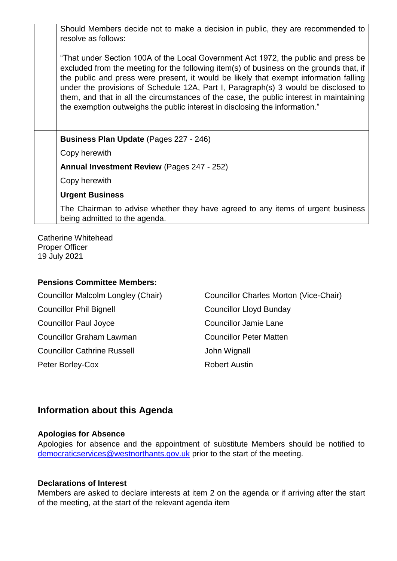Should Members decide not to make a decision in public, they are recommended to resolve as follows:

"That under Section 100A of the Local Government Act 1972, the public and press be excluded from the meeting for the following item(s) of business on the grounds that, if the public and press were present, it would be likely that exempt information falling under the provisions of Schedule 12A, Part I, Paragraph(s) 3 would be disclosed to them, and that in all the circumstances of the case, the public interest in maintaining the exemption outweighs the public interest in disclosing the information."

| <b>Business Plan Update (Pages 227 - 246)</b>                                                                    |
|------------------------------------------------------------------------------------------------------------------|
| Copy herewith                                                                                                    |
| <b>Annual Investment Review (Pages 247 - 252)</b>                                                                |
| Copy herewith                                                                                                    |
| <b>Urgent Business</b>                                                                                           |
| The Chairman to advise whether they have agreed to any items of urgent business<br>being admitted to the agenda. |

Catherine Whitehead Proper Officer 19 July 2021

#### **Pensions Committee Members:**

Councillor Phil Bignell Councillor Lloyd Bunday Councillor Paul Joyce Councillor Jamie Lane Councillor Graham Lawman Councillor Peter Matten Councillor Cathrine Russell **Councillor Cathrine Russell** John Wignall Peter Borley-Cox Robert Austin

Councillor Malcolm Longley (Chair) Councillor Charles Morton (Vice-Chair)

### **Information about this Agenda**

#### **Apologies for Absence**

Apologies for absence and the appointment of substitute Members should be notified to [democraticservices@westnorthants.gov.uk](mailto:democraticservices@westnorthants.gov.uk) prior to the start of the meeting.

#### **Declarations of Interest**

Members are asked to declare interests at item 2 on the agenda or if arriving after the start of the meeting, at the start of the relevant agenda item